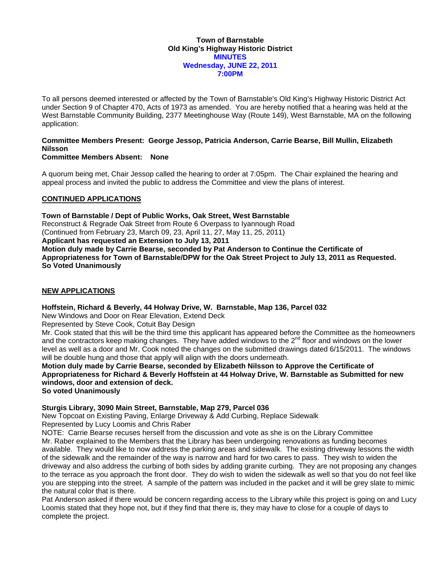### **Town of Barnstable Old King's Highway Historic District MINUTES Wednesday, JUNE 22, 2011 7:00PM**

To all persons deemed interested or affected by the Town of Barnstable's Old King's Highway Historic District Act under Section 9 of Chapter 470, Acts of 1973 as amended. You are hereby notified that a hearing was held at the West Barnstable Community Building, 2377 Meetinghouse Way (Route 149), West Barnstable, MA on the following application:

## **Committee Members Present: George Jessop, Patricia Anderson, Carrie Bearse, Bill Mullin, Elizabeth Nilsson**

## **Committee Members Absent: None**

A quorum being met, Chair Jessop called the hearing to order at 7:05pm. The Chair explained the hearing and appeal process and invited the public to address the Committee and view the plans of interest.

# **CONTINUED APPLICATIONS**

**Town of Barnstable / Dept of Public Works, Oak Street, West Barnstable**  Reconstruct & Regrade Oak Street from Route 6 Overpass to Iyannough Road (Continued from February 23, March 09, 23, April 11, 27, May 11, 25, 2011) **Applicant has requested an Extension to July 13, 2011 Motion duly made by Carrie Bearse, seconded by Pat Anderson to Continue the Certificate of Appropriateness for Town of Barnstable/DPW for the Oak Street Project to July 13, 2011 as Requested. So Voted Unanimously** 

# **NEW APPLICATIONS**

**Hoffstein, Richard & Beverly, 44 Holway Drive, W. Barnstable, Map 136, Parcel 032** 

New Windows and Door on Rear Elevation, Extend Deck

Represented by Steve Cook, Cotuit Bay Design

Mr. Cook stated that this will be the third time this applicant has appeared before the Committee as the homeowners and the contractors keep making changes. They have added windows to the 2<sup>nd</sup> floor and windows on the lower level as well as a door and Mr. Cook noted the changes on the submitted drawings dated 6/15/2011. The windows will be double hung and those that apply will align with the doors underneath.

**Motion duly made by Carrie Bearse, seconded by Elizabeth Nilsson to Approve the Certificate of Appropriateness for Richard & Beverly Hoffstein at 44 Holway Drive, W. Barnstable as Submitted for new windows, door and extension of deck.** 

**So voted Unanimously** 

# **Sturgis Library, 3090 Main Street, Barnstable, Map 279, Parcel 036**

New Topcoat on Existing Paving, Enlarge Driveway & Add Curbing, Replace Sidewalk Represented by Lucy Loomis and Chris Raber

NOTE: Carrie Bearse recuses herself from the discussion and vote as she is on the Library Committee Mr. Raber explained to the Members that the Library has been undergoing renovations as funding becomes available. They would like to now address the parking areas and sidewalk. The existing driveway lessons the width of the sidewalk and the remainder of the way is narrow and hard for two cares to pass. They wish to widen the driveway and also address the curbing of both sides by adding granite curbing. They are not proposing any changes to the terrace as you approach the front door. They do wish to widen the sidewalk as well so that you do not feel like you are stepping into the street. A sample of the pattern was included in the packet and it will be grey slate to mimic the natural color that is there.

Pat Anderson asked if there would be concern regarding access to the Library while this project is going on and Lucy Loomis stated that they hope not, but if they find that there is, they may have to close for a couple of days to complete the project.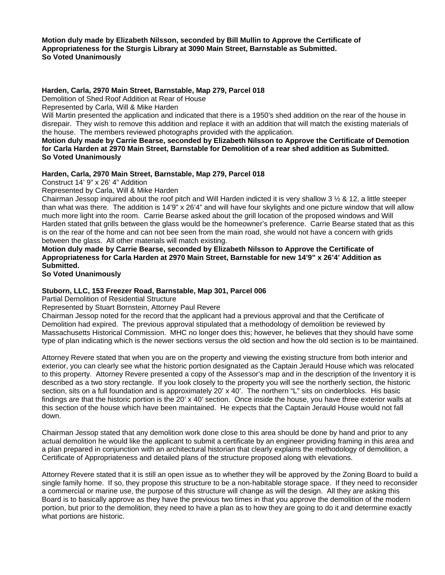**Motion duly made by Elizabeth Nilsson, seconded by Bill Mullin to Approve the Certificate of Appropriateness for the Sturgis Library at 3090 Main Street, Barnstable as Submitted. So Voted Unanimously** 

### **Harden, Carla, 2970 Main Street, Barnstable, Map 279, Parcel 018**

Demolition of Shed Roof Addition at Rear of House

Represented by Carla, Will & Mike Harden

Will Martin presented the application and indicated that there is a 1950's shed addition on the rear of the house in disrepair. They wish to remove this addition and replace it with an addition that will match the existing materials of the house. The members reviewed photographs provided with the application.

**Motion duly made by Carrie Bearse, seconded by Elizabeth Nilsson to Approve the Certificate of Demotion for Carla Harden at 2970 Main Street, Barnstable for Demolition of a rear shed addition as Submitted. So Voted Unanimously** 

## **Harden, Carla, 2970 Main Street, Barnstable, Map 279, Parcel 018**

Construct 14' 9" x 26' 4" Addition

Represented by Carla, Will & Mike Harden

Chairman Jessop inquired about the roof pitch and Will Harden indicted it is very shallow 3 ½ & 12, a little steeper than what was there. The addition is 14'9" x 26'4" and will have four skylights and one picture window that will allow much more light into the room. Carrie Bearse asked about the grill location of the proposed windows and Will Harden stated that grills between the glass would be the homeowner's preference. Carrie Bearse stated that as this is on the rear of the home and can not bee seen from the main road, she would not have a concern with grids between the glass. All other materials will match existing.

**Motion duly made by Carrie Bearse, seconded by Elizabeth Nilsson to Approve the Certificate of Appropriateness for Carla Harden at 2970 Main Street, Barnstable for new 14'9" x 26'4' Addition as Submitted.** 

**So Voted Unanimously** 

### **Stuborn, LLC, 153 Freezer Road, Barnstable, Map 301, Parcel 006**

Partial Demolition of Residential Structure

Represented by Stuart Bornstein, Attorney Paul Revere

Chairman Jessop noted for the record that the applicant had a previous approval and that the Certificate of Demolition had expired. The previous approval stipulated that a methodology of demolition be reviewed by Massachusetts Historical Commission. MHC no longer does this; however, he believes that they should have some type of plan indicating which is the newer sections versus the old section and how the old section is to be maintained.

Attorney Revere stated that when you are on the property and viewing the existing structure from both interior and exterior, you can clearly see what the historic portion designated as the Captain Jerauld House which was relocated to this property. Attorney Revere presented a copy of the Assessor's map and in the description of the Inventory it is described as a two story rectangle. If you look closely to the property you will see the northerly section, the historic section, sits on a full foundation and is approximately 20' x 40'. The northern "L" sits on cinderblocks. His basic findings are that the historic portion is the 20' x 40' section. Once inside the house, you have three exterior walls at this section of the house which have been maintained. He expects that the Captain Jerauld House would not fall down.

Chairman Jessop stated that any demolition work done close to this area should be done by hand and prior to any actual demolition he would like the applicant to submit a certificate by an engineer providing framing in this area and a plan prepared in conjunction with an architectural historian that clearly explains the methodology of demolition, a Certificate of Appropriateness and detailed plans of the structure proposed along with elevations.

Attorney Revere stated that it is still an open issue as to whether they will be approved by the Zoning Board to build a single family home. If so, they propose this structure to be a non-habitable storage space. If they need to reconsider a commercial or marine use, the purpose of this structure will change as will the design. All they are asking this Board is to basically approve as they have the previous two times in that you approve the demolition of the modern portion, but prior to the demolition, they need to have a plan as to how they are going to do it and determine exactly what portions are historic.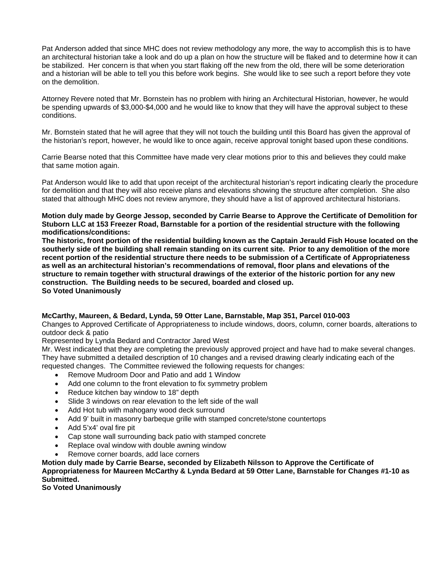Pat Anderson added that since MHC does not review methodology any more, the way to accomplish this is to have an architectural historian take a look and do up a plan on how the structure will be flaked and to determine how it can be stabilized. Her concern is that when you start flaking off the new from the old, there will be some deterioration and a historian will be able to tell you this before work begins. She would like to see such a report before they vote on the demolition.

Attorney Revere noted that Mr. Bornstein has no problem with hiring an Architectural Historian, however, he would be spending upwards of \$3,000-\$4,000 and he would like to know that they will have the approval subject to these conditions.

Mr. Bornstein stated that he will agree that they will not touch the building until this Board has given the approval of the historian's report, however, he would like to once again, receive approval tonight based upon these conditions.

Carrie Bearse noted that this Committee have made very clear motions prior to this and believes they could make that same motion again.

Pat Anderson would like to add that upon receipt of the architectural historian's report indicating clearly the procedure for demolition and that they will also receive plans and elevations showing the structure after completion. She also stated that although MHC does not review anymore, they should have a list of approved architectural historians.

**Motion duly made by George Jessop, seconded by Carrie Bearse to Approve the Certificate of Demolition for Stuborn LLC at 153 Freezer Road, Barnstable for a portion of the residential structure with the following modifications/conditions:** 

**The historic, front portion of the residential building known as the Captain Jerauld Fish House located on the southerly side of the building shall remain standing on its current site. Prior to any demolition of the more recent portion of the residential structure there needs to be submission of a Certificate of Appropriateness as well as an architectural historian's recommendations of removal, floor plans and elevations of the structure to remain together with structural drawings of the exterior of the historic portion for any new construction. The Building needs to be secured, boarded and closed up.** 

**So Voted Unanimously** 

### **McCarthy, Maureen, & Bedard, Lynda, 59 Otter Lane, Barnstable, Map 351, Parcel 010-003**

Changes to Approved Certificate of Appropriateness to include windows, doors, column, corner boards, alterations to outdoor deck & patio

Represented by Lynda Bedard and Contractor Jared West

Mr. West indicated that they are completing the previously approved project and have had to make several changes. They have submitted a detailed description of 10 changes and a revised drawing clearly indicating each of the requested changes. The Committee reviewed the following requests for changes:

- Remove Mudroom Door and Patio and add 1 Window
- Add one column to the front elevation to fix symmetry problem
- Reduce kitchen bay window to 18" depth
- Slide 3 windows on rear elevation to the left side of the wall
- Add Hot tub with mahogany wood deck surround
- Add 9' built in masonry barbeque grille with stamped concrete/stone countertops
- Add 5'x4' oval fire pit
- Cap stone wall surrounding back patio with stamped concrete
- Replace oval window with double awning window
- Remove corner boards, add lace corners

**Motion duly made by Carrie Bearse, seconded by Elizabeth Nilsson to Approve the Certificate of Appropriateness for Maureen McCarthy & Lynda Bedard at 59 Otter Lane, Barnstable for Changes #1-10 as Submitted.** 

**So Voted Unanimously**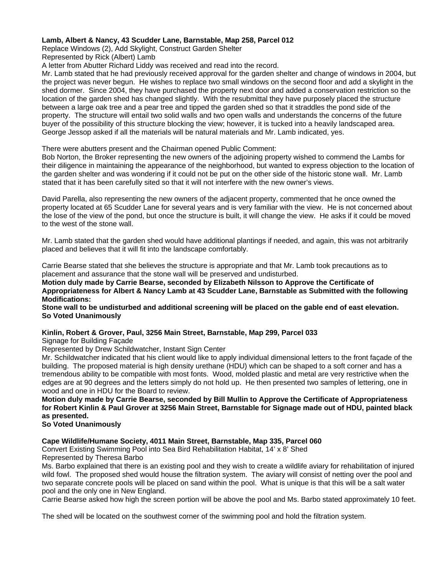## **Lamb, Albert & Nancy, 43 Scudder Lane, Barnstable, Map 258, Parcel 012**

Replace Windows (2), Add Skylight, Construct Garden Shelter

Represented by Rick (Albert) Lamb

A letter from Abutter Richard Liddy was received and read into the record.

Mr. Lamb stated that he had previously received approval for the garden shelter and change of windows in 2004, but the project was never begun. He wishes to replace two small windows on the second floor and add a skylight in the shed dormer. Since 2004, they have purchased the property next door and added a conservation restriction so the location of the garden shed has changed slightly. With the resubmittal they have purposely placed the structure between a large oak tree and a pear tree and tipped the garden shed so that it straddles the pond side of the property. The structure will entail two solid walls and two open walls and understands the concerns of the future buyer of the possibility of this structure blocking the view; however, it is tucked into a heavily landscaped area. George Jessop asked if all the materials will be natural materials and Mr. Lamb indicated, yes.

## There were abutters present and the Chairman opened Public Comment:

Bob Norton, the Broker representing the new owners of the adjoining property wished to commend the Lambs for their diligence in maintaining the appearance of the neighborhood, but wanted to express objection to the location of the garden shelter and was wondering if it could not be put on the other side of the historic stone wall. Mr. Lamb stated that it has been carefully sited so that it will not interfere with the new owner's views.

David Parella, also representing the new owners of the adjacent property, commented that he once owned the property located at 65 Scudder Lane for several years and is very familiar with the view. He is not concerned about the lose of the view of the pond, but once the structure is built, it will change the view. He asks if it could be moved to the west of the stone wall.

Mr. Lamb stated that the garden shed would have additional plantings if needed, and again, this was not arbitrarily placed and believes that it will fit into the landscape comfortably.

Carrie Bearse stated that she believes the structure is appropriate and that Mr. Lamb took precautions as to placement and assurance that the stone wall will be preserved and undisturbed.

**Motion duly made by Carrie Bearse, seconded by Elizabeth Nilsson to Approve the Certificate of Appropriateness for Albert & Nancy Lamb at 43 Scudder Lane, Barnstable as Submitted with the following Modifications:** 

**Stone wall to be undisturbed and additional screening will be placed on the gable end of east elevation. So Voted Unanimously**

# **Kinlin, Robert & Grover, Paul, 3256 Main Street, Barnstable, Map 299, Parcel 033**

Signage for Building Façade

Represented by Drew Schildwatcher, Instant Sign Center

Mr. Schildwatcher indicated that his client would like to apply individual dimensional letters to the front façade of the building. The proposed material is high density urethane (HDU) which can be shaped to a soft corner and has a tremendous ability to be compatible with most fonts. Wood, molded plastic and metal are very restrictive when the edges are at 90 degrees and the letters simply do not hold up. He then presented two samples of lettering, one in wood and one in HDU for the Board to review.

**Motion duly made by Carrie Bearse, seconded by Bill Mullin to Approve the Certificate of Appropriateness for Robert Kinlin & Paul Grover at 3256 Main Street, Barnstable for Signage made out of HDU, painted black as presented.** 

# **So Voted Unanimously**

# **Cape Wildlife/Humane Society, 4011 Main Street, Barnstable, Map 335, Parcel 060**

Convert Existing Swimming Pool into Sea Bird Rehabilitation Habitat, 14' x 8' Shed

Represented by Theresa Barbo

Ms. Barbo explained that there is an existing pool and they wish to create a wildlife aviary for rehabilitation of injured wild fowl. The proposed shed would house the filtration system. The aviary will consist of netting over the pool and two separate concrete pools will be placed on sand within the pool. What is unique is that this will be a salt water pool and the only one in New England.

Carrie Bearse asked how high the screen portion will be above the pool and Ms. Barbo stated approximately 10 feet.

The shed will be located on the southwest corner of the swimming pool and hold the filtration system.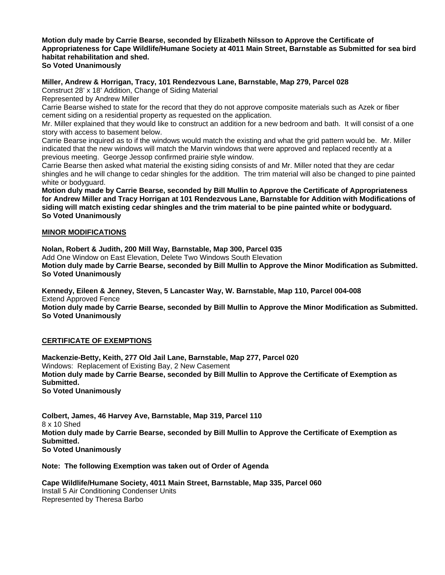#### **Motion duly made by Carrie Bearse, seconded by Elizabeth Nilsson to Approve the Certificate of Appropriateness for Cape Wildlife/Humane Society at 4011 Main Street, Barnstable as Submitted for sea bird habitat rehabilitation and shed. So Voted Unanimously**

## **Miller, Andrew & Horrigan, Tracy, 101 Rendezvous Lane, Barnstable, Map 279, Parcel 028**

Construct 28' x 18' Addition, Change of Siding Material

Represented by Andrew Miller

Carrie Bearse wished to state for the record that they do not approve composite materials such as Azek or fiber cement siding on a residential property as requested on the application.

Mr. Miller explained that they would like to construct an addition for a new bedroom and bath. It will consist of a one story with access to basement below.

Carrie Bearse inquired as to if the windows would match the existing and what the grid pattern would be. Mr. Miller indicated that the new windows will match the Marvin windows that were approved and replaced recently at a previous meeting. George Jessop confirmed prairie style window.

Carrie Bearse then asked what material the existing siding consists of and Mr. Miller noted that they are cedar shingles and he will change to cedar shingles for the addition. The trim material will also be changed to pine painted white or bodyguard.

**Motion duly made by Carrie Bearse, seconded by Bill Mullin to Approve the Certificate of Appropriateness for Andrew Miller and Tracy Horrigan at 101 Rendezvous Lane, Barnstable for Addition with Modifications of siding will match existing cedar shingles and the trim material to be pine painted white or bodyguard. So Voted Unanimously** 

### **MINOR MODIFICATIONS**

**Nolan, Robert & Judith, 200 Mill Way, Barnstable, Map 300, Parcel 035**  Add One Window on East Elevation, Delete Two Windows South Elevation **Motion duly made by Carrie Bearse, seconded by Bill Mullin to Approve the Minor Modification as Submitted. So Voted Unanimously** 

**Kennedy, Eileen & Jenney, Steven, 5 Lancaster Way, W. Barnstable, Map 110, Parcel 004-008**  Extend Approved Fence **Motion duly made by Carrie Bearse, seconded by Bill Mullin to Approve the Minor Modification as Submitted. So Voted Unanimously** 

### **CERTIFICATE OF EXEMPTIONS**

**Mackenzie-Betty, Keith, 277 Old Jail Lane, Barnstable, Map 277, Parcel 020**  Windows: Replacement of Existing Bay, 2 New Casement **Motion duly made by Carrie Bearse, seconded by Bill Mullin to Approve the Certificate of Exemption as Submitted. So Voted Unanimously** 

**Colbert, James, 46 Harvey Ave, Barnstable, Map 319, Parcel 110**  8 x 10 Shed **Motion duly made by Carrie Bearse, seconded by Bill Mullin to Approve the Certificate of Exemption as Submitted. So Voted Unanimously** 

**Note: The following Exemption was taken out of Order of Agenda** 

**Cape Wildlife/Humane Society, 4011 Main Street, Barnstable, Map 335, Parcel 060**  Install 5 Air Conditioning Condenser Units Represented by Theresa Barbo